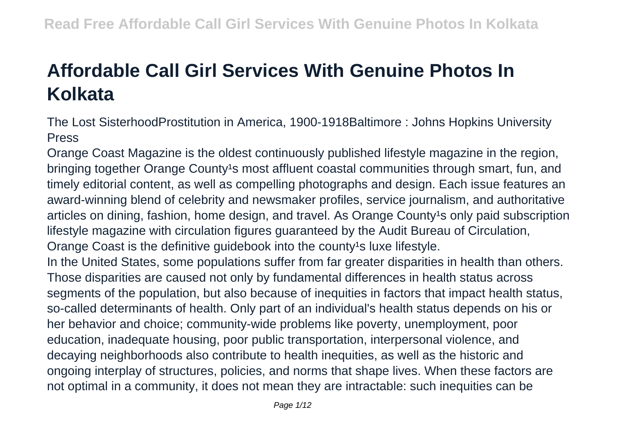## **Affordable Call Girl Services With Genuine Photos In Kolkata**

The Lost SisterhoodProstitution in America, 1900-1918Baltimore : Johns Hopkins University Press

Orange Coast Magazine is the oldest continuously published lifestyle magazine in the region, bringing together Orange County<sup>1</sup>s most affluent coastal communities through smart, fun, and timely editorial content, as well as compelling photographs and design. Each issue features an award-winning blend of celebrity and newsmaker profiles, service journalism, and authoritative articles on dining, fashion, home design, and travel. As Orange County<sup>1</sup>s only paid subscription lifestyle magazine with circulation figures guaranteed by the Audit Bureau of Circulation, Orange Coast is the definitive guidebook into the county<sup>1</sup>s luxe lifestyle. In the United States, some populations suffer from far greater disparities in health than others. Those disparities are caused not only by fundamental differences in health status across segments of the population, but also because of inequities in factors that impact health status, so-called determinants of health. Only part of an individual's health status depends on his or her behavior and choice; community-wide problems like poverty, unemployment, poor education, inadequate housing, poor public transportation, interpersonal violence, and decaying neighborhoods also contribute to health inequities, as well as the historic and ongoing interplay of structures, policies, and norms that shape lives. When these factors are not optimal in a community, it does not mean they are intractable: such inequities can be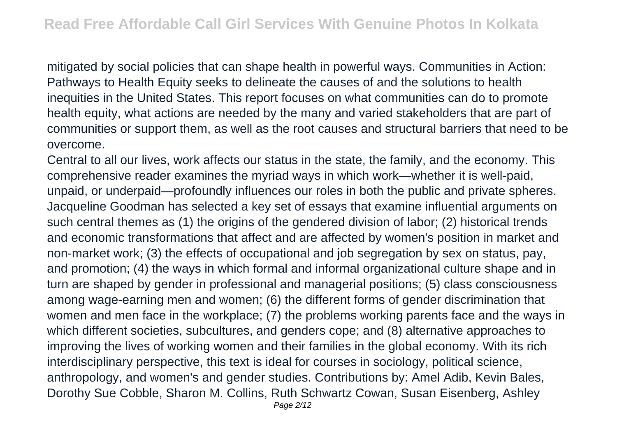mitigated by social policies that can shape health in powerful ways. Communities in Action: Pathways to Health Equity seeks to delineate the causes of and the solutions to health inequities in the United States. This report focuses on what communities can do to promote health equity, what actions are needed by the many and varied stakeholders that are part of communities or support them, as well as the root causes and structural barriers that need to be overcome.

Central to all our lives, work affects our status in the state, the family, and the economy. This comprehensive reader examines the myriad ways in which work—whether it is well-paid, unpaid, or underpaid—profoundly influences our roles in both the public and private spheres. Jacqueline Goodman has selected a key set of essays that examine influential arguments on such central themes as (1) the origins of the gendered division of labor; (2) historical trends and economic transformations that affect and are affected by women's position in market and non-market work; (3) the effects of occupational and job segregation by sex on status, pay, and promotion; (4) the ways in which formal and informal organizational culture shape and in turn are shaped by gender in professional and managerial positions; (5) class consciousness among wage-earning men and women; (6) the different forms of gender discrimination that women and men face in the workplace; (7) the problems working parents face and the ways in which different societies, subcultures, and genders cope; and (8) alternative approaches to improving the lives of working women and their families in the global economy. With its rich interdisciplinary perspective, this text is ideal for courses in sociology, political science, anthropology, and women's and gender studies. Contributions by: Amel Adib, Kevin Bales, Dorothy Sue Cobble, Sharon M. Collins, Ruth Schwartz Cowan, Susan Eisenberg, Ashley Page 2/12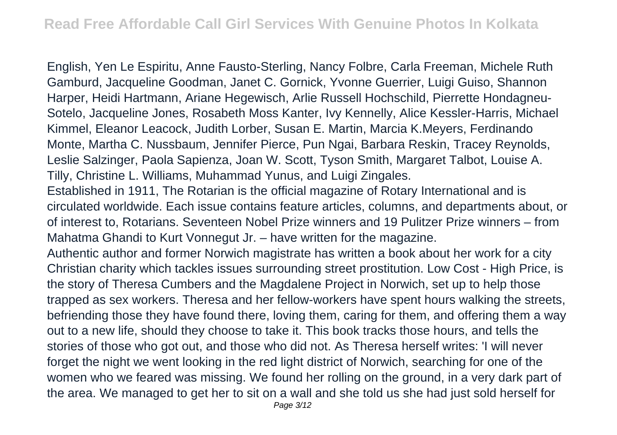English, Yen Le Espiritu, Anne Fausto-Sterling, Nancy Folbre, Carla Freeman, Michele Ruth Gamburd, Jacqueline Goodman, Janet C. Gornick, Yvonne Guerrier, Luigi Guiso, Shannon Harper, Heidi Hartmann, Ariane Hegewisch, Arlie Russell Hochschild, Pierrette Hondagneu-Sotelo, Jacqueline Jones, Rosabeth Moss Kanter, Ivy Kennelly, Alice Kessler-Harris, Michael Kimmel, Eleanor Leacock, Judith Lorber, Susan E. Martin, Marcia K.Meyers, Ferdinando Monte, Martha C. Nussbaum, Jennifer Pierce, Pun Ngai, Barbara Reskin, Tracey Reynolds, Leslie Salzinger, Paola Sapienza, Joan W. Scott, Tyson Smith, Margaret Talbot, Louise A. Tilly, Christine L. Williams, Muhammad Yunus, and Luigi Zingales.

Established in 1911, The Rotarian is the official magazine of Rotary International and is circulated worldwide. Each issue contains feature articles, columns, and departments about, or of interest to, Rotarians. Seventeen Nobel Prize winners and 19 Pulitzer Prize winners – from Mahatma Ghandi to Kurt Vonnegut Jr. – have written for the magazine.

Authentic author and former Norwich magistrate has written a book about her work for a city Christian charity which tackles issues surrounding street prostitution. Low Cost - High Price, is the story of Theresa Cumbers and the Magdalene Project in Norwich, set up to help those trapped as sex workers. Theresa and her fellow-workers have spent hours walking the streets, befriending those they have found there, loving them, caring for them, and offering them a way out to a new life, should they choose to take it. This book tracks those hours, and tells the stories of those who got out, and those who did not. As Theresa herself writes: 'I will never forget the night we went looking in the red light district of Norwich, searching for one of the women who we feared was missing. We found her rolling on the ground, in a very dark part of the area. We managed to get her to sit on a wall and she told us she had just sold herself for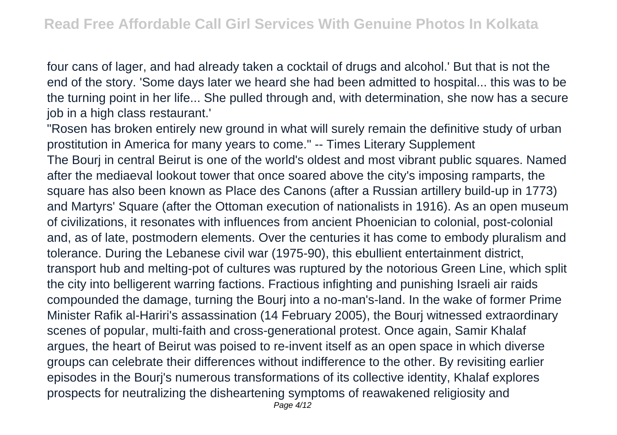four cans of lager, and had already taken a cocktail of drugs and alcohol.' But that is not the end of the story. 'Some days later we heard she had been admitted to hospital... this was to be the turning point in her life... She pulled through and, with determination, she now has a secure job in a high class restaurant.'

"Rosen has broken entirely new ground in what will surely remain the definitive study of urban prostitution in America for many years to come." -- Times Literary Supplement The Bourj in central Beirut is one of the world's oldest and most vibrant public squares. Named after the mediaeval lookout tower that once soared above the city's imposing ramparts, the square has also been known as Place des Canons (after a Russian artillery build-up in 1773) and Martyrs' Square (after the Ottoman execution of nationalists in 1916). As an open museum of civilizations, it resonates with influences from ancient Phoenician to colonial, post-colonial and, as of late, postmodern elements. Over the centuries it has come to embody pluralism and tolerance. During the Lebanese civil war (1975-90), this ebullient entertainment district, transport hub and melting-pot of cultures was ruptured by the notorious Green Line, which split the city into belligerent warring factions. Fractious infighting and punishing Israeli air raids compounded the damage, turning the Bourj into a no-man's-land. In the wake of former Prime Minister Rafik al-Hariri's assassination (14 February 2005), the Bourj witnessed extraordinary scenes of popular, multi-faith and cross-generational protest. Once again, Samir Khalaf argues, the heart of Beirut was poised to re-invent itself as an open space in which diverse groups can celebrate their differences without indifference to the other. By revisiting earlier episodes in the Bourj's numerous transformations of its collective identity, Khalaf explores prospects for neutralizing the disheartening symptoms of reawakened religiosity and Page 4/12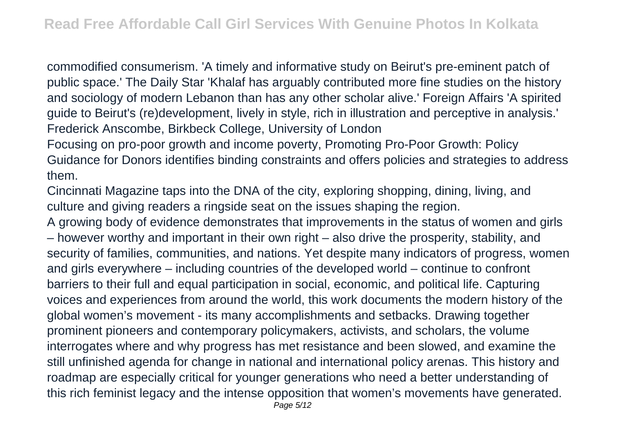commodified consumerism. 'A timely and informative study on Beirut's pre-eminent patch of public space.' The Daily Star 'Khalaf has arguably contributed more fine studies on the history and sociology of modern Lebanon than has any other scholar alive.' Foreign Affairs 'A spirited guide to Beirut's (re)development, lively in style, rich in illustration and perceptive in analysis.' Frederick Anscombe, Birkbeck College, University of London

Focusing on pro-poor growth and income poverty, Promoting Pro-Poor Growth: Policy Guidance for Donors identifies binding constraints and offers policies and strategies to address them.

Cincinnati Magazine taps into the DNA of the city, exploring shopping, dining, living, and culture and giving readers a ringside seat on the issues shaping the region.

A growing body of evidence demonstrates that improvements in the status of women and girls – however worthy and important in their own right – also drive the prosperity, stability, and security of families, communities, and nations. Yet despite many indicators of progress, women and girls everywhere – including countries of the developed world – continue to confront barriers to their full and equal participation in social, economic, and political life. Capturing voices and experiences from around the world, this work documents the modern history of the global women's movement - its many accomplishments and setbacks. Drawing together prominent pioneers and contemporary policymakers, activists, and scholars, the volume interrogates where and why progress has met resistance and been slowed, and examine the still unfinished agenda for change in national and international policy arenas. This history and roadmap are especially critical for younger generations who need a better understanding of this rich feminist legacy and the intense opposition that women's movements have generated. Page 5/12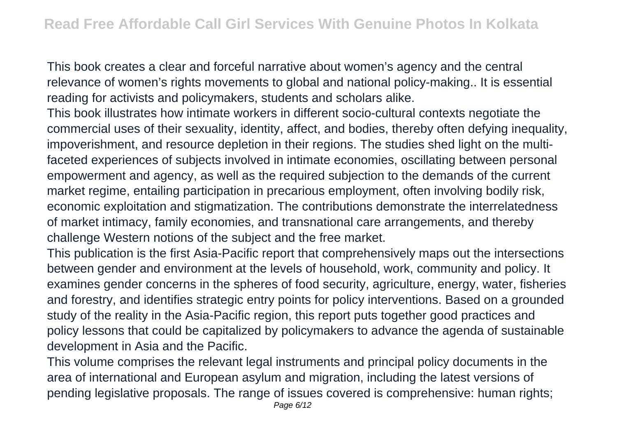This book creates a clear and forceful narrative about women's agency and the central relevance of women's rights movements to global and national policy-making.. It is essential reading for activists and policymakers, students and scholars alike.

This book illustrates how intimate workers in different socio-cultural contexts negotiate the commercial uses of their sexuality, identity, affect, and bodies, thereby often defying inequality, impoverishment, and resource depletion in their regions. The studies shed light on the multifaceted experiences of subjects involved in intimate economies, oscillating between personal empowerment and agency, as well as the required subjection to the demands of the current market regime, entailing participation in precarious employment, often involving bodily risk, economic exploitation and stigmatization. The contributions demonstrate the interrelatedness of market intimacy, family economies, and transnational care arrangements, and thereby challenge Western notions of the subject and the free market.

This publication is the first Asia-Pacific report that comprehensively maps out the intersections between gender and environment at the levels of household, work, community and policy. It examines gender concerns in the spheres of food security, agriculture, energy, water, fisheries and forestry, and identifies strategic entry points for policy interventions. Based on a grounded study of the reality in the Asia-Pacific region, this report puts together good practices and policy lessons that could be capitalized by policymakers to advance the agenda of sustainable development in Asia and the Pacific.

This volume comprises the relevant legal instruments and principal policy documents in the area of international and European asylum and migration, including the latest versions of pending legislative proposals. The range of issues covered is comprehensive: human rights;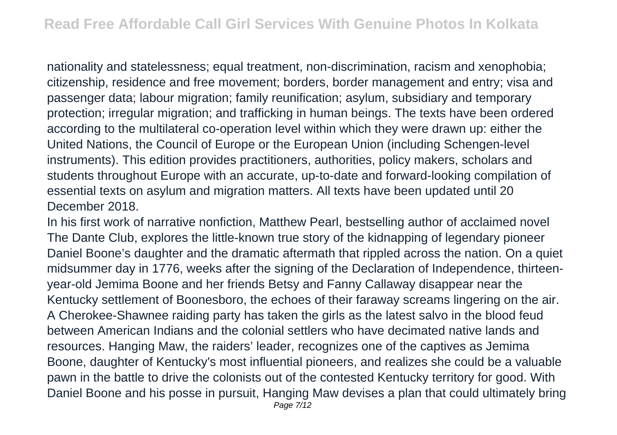nationality and statelessness; equal treatment, non-discrimination, racism and xenophobia; citizenship, residence and free movement; borders, border management and entry; visa and passenger data; labour migration; family reunification; asylum, subsidiary and temporary protection; irregular migration; and trafficking in human beings. The texts have been ordered according to the multilateral co-operation level within which they were drawn up: either the United Nations, the Council of Europe or the European Union (including Schengen-level instruments). This edition provides practitioners, authorities, policy makers, scholars and students throughout Europe with an accurate, up-to-date and forward-looking compilation of essential texts on asylum and migration matters. All texts have been updated until 20 December 2018.

In his first work of narrative nonfiction, Matthew Pearl, bestselling author of acclaimed novel The Dante Club, explores the little-known true story of the kidnapping of legendary pioneer Daniel Boone's daughter and the dramatic aftermath that rippled across the nation. On a quiet midsummer day in 1776, weeks after the signing of the Declaration of Independence, thirteenyear-old Jemima Boone and her friends Betsy and Fanny Callaway disappear near the Kentucky settlement of Boonesboro, the echoes of their faraway screams lingering on the air. A Cherokee-Shawnee raiding party has taken the girls as the latest salvo in the blood feud between American Indians and the colonial settlers who have decimated native lands and resources. Hanging Maw, the raiders' leader, recognizes one of the captives as Jemima Boone, daughter of Kentucky's most influential pioneers, and realizes she could be a valuable pawn in the battle to drive the colonists out of the contested Kentucky territory for good. With Daniel Boone and his posse in pursuit, Hanging Maw devises a plan that could ultimately bring Page 7/12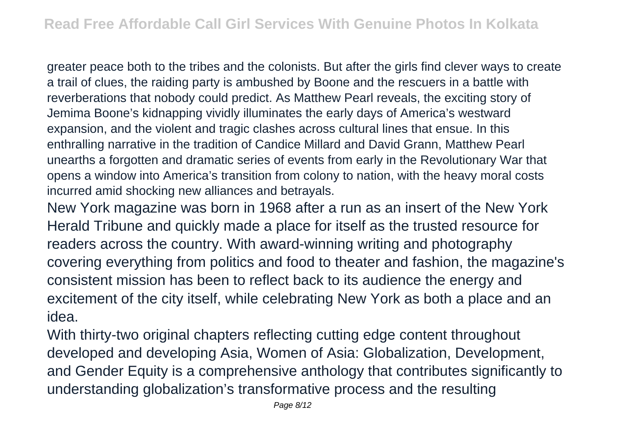greater peace both to the tribes and the colonists. But after the girls find clever ways to create a trail of clues, the raiding party is ambushed by Boone and the rescuers in a battle with reverberations that nobody could predict. As Matthew Pearl reveals, the exciting story of Jemima Boone's kidnapping vividly illuminates the early days of America's westward expansion, and the violent and tragic clashes across cultural lines that ensue. In this enthralling narrative in the tradition of Candice Millard and David Grann, Matthew Pearl unearths a forgotten and dramatic series of events from early in the Revolutionary War that opens a window into America's transition from colony to nation, with the heavy moral costs incurred amid shocking new alliances and betrayals.

New York magazine was born in 1968 after a run as an insert of the New York Herald Tribune and quickly made a place for itself as the trusted resource for readers across the country. With award-winning writing and photography covering everything from politics and food to theater and fashion, the magazine's consistent mission has been to reflect back to its audience the energy and excitement of the city itself, while celebrating New York as both a place and an idea.

With thirty-two original chapters reflecting cutting edge content throughout developed and developing Asia, Women of Asia: Globalization, Development, and Gender Equity is a comprehensive anthology that contributes significantly to understanding globalization's transformative process and the resulting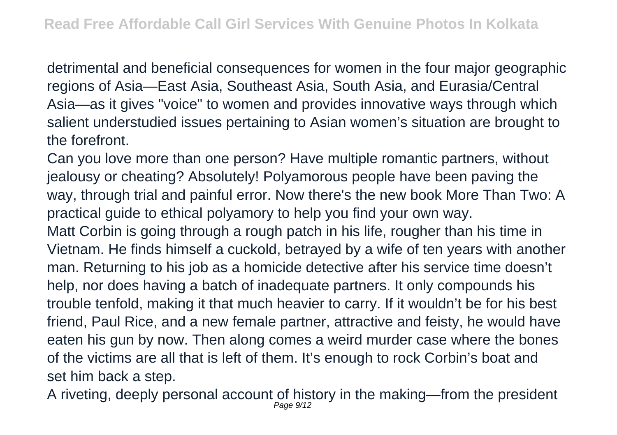detrimental and beneficial consequences for women in the four major geographic regions of Asia—East Asia, Southeast Asia, South Asia, and Eurasia/Central Asia—as it gives "voice" to women and provides innovative ways through which salient understudied issues pertaining to Asian women's situation are brought to the forefront.

Can you love more than one person? Have multiple romantic partners, without jealousy or cheating? Absolutely! Polyamorous people have been paving the way, through trial and painful error. Now there's the new book More Than Two: A practical guide to ethical polyamory to help you find your own way. Matt Corbin is going through a rough patch in his life, rougher than his time in Vietnam. He finds himself a cuckold, betrayed by a wife of ten years with another man. Returning to his job as a homicide detective after his service time doesn't help, nor does having a batch of inadequate partners. It only compounds his trouble tenfold, making it that much heavier to carry. If it wouldn't be for his best friend, Paul Rice, and a new female partner, attractive and feisty, he would have eaten his gun by now. Then along comes a weird murder case where the bones of the victims are all that is left of them. It's enough to rock Corbin's boat and set him back a step.

A riveting, deeply personal account of history in the making—from the president Page  $9/12$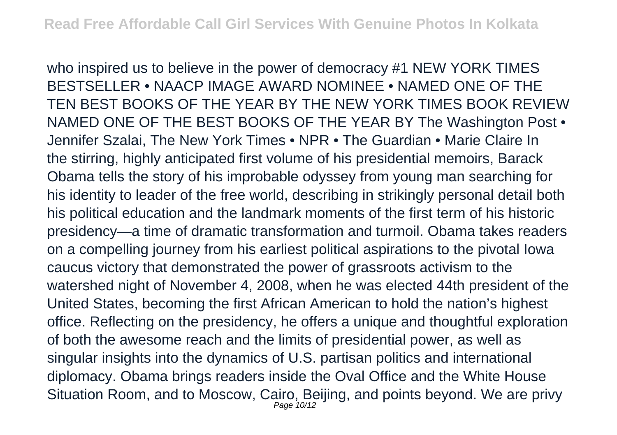who inspired us to believe in the power of democracy #1 NEW YORK TIMES BESTSELLER • NAACP IMAGE AWARD NOMINEE • NAMED ONE OF THE TEN BEST BOOKS OF THE YEAR BY THE NEW YORK TIMES BOOK REVIEW NAMED ONE OF THE BEST BOOKS OF THE YEAR BY The Washington Post • Jennifer Szalai, The New York Times • NPR • The Guardian • Marie Claire In the stirring, highly anticipated first volume of his presidential memoirs, Barack Obama tells the story of his improbable odyssey from young man searching for his identity to leader of the free world, describing in strikingly personal detail both his political education and the landmark moments of the first term of his historic presidency—a time of dramatic transformation and turmoil. Obama takes readers on a compelling journey from his earliest political aspirations to the pivotal Iowa caucus victory that demonstrated the power of grassroots activism to the watershed night of November 4, 2008, when he was elected 44th president of the United States, becoming the first African American to hold the nation's highest office. Reflecting on the presidency, he offers a unique and thoughtful exploration of both the awesome reach and the limits of presidential power, as well as singular insights into the dynamics of U.S. partisan politics and international diplomacy. Obama brings readers inside the Oval Office and the White House Situation Room, and to Moscow, Cairo, Beijing, and points beyond. We are privy Page 10/12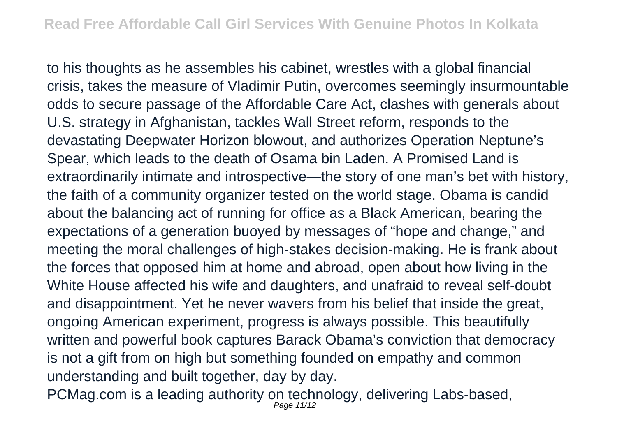to his thoughts as he assembles his cabinet, wrestles with a global financial crisis, takes the measure of Vladimir Putin, overcomes seemingly insurmountable odds to secure passage of the Affordable Care Act, clashes with generals about U.S. strategy in Afghanistan, tackles Wall Street reform, responds to the devastating Deepwater Horizon blowout, and authorizes Operation Neptune's Spear, which leads to the death of Osama bin Laden. A Promised Land is extraordinarily intimate and introspective—the story of one man's bet with history, the faith of a community organizer tested on the world stage. Obama is candid about the balancing act of running for office as a Black American, bearing the expectations of a generation buoyed by messages of "hope and change," and meeting the moral challenges of high-stakes decision-making. He is frank about the forces that opposed him at home and abroad, open about how living in the White House affected his wife and daughters, and unafraid to reveal self-doubt and disappointment. Yet he never wavers from his belief that inside the great, ongoing American experiment, progress is always possible. This beautifully written and powerful book captures Barack Obama's conviction that democracy is not a gift from on high but something founded on empathy and common understanding and built together, day by day.

PCMag.com is a leading authority on technology, delivering Labs-based, Page 11/12